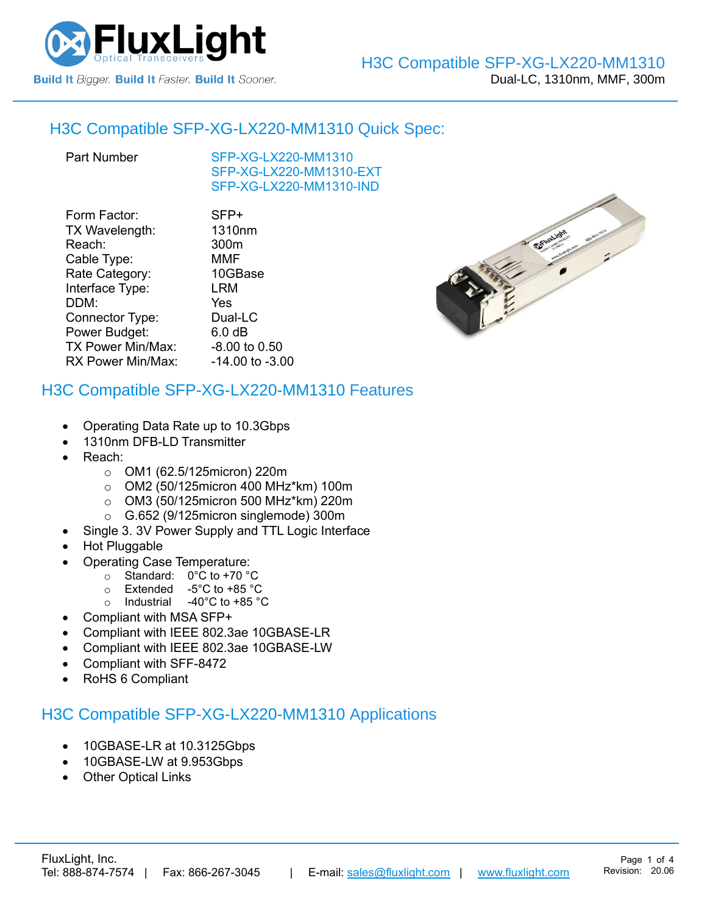

### H3C Compatible [SFP-XG-LX220-MM1310](https://www.fluxlight.com/sfp-xg-lx220-mm1310/) Quick Spec:

[SFP-XG-LX220-MM1310](https://www.fluxlight.com/sfp-xg-lx220-mm1310/) [SFP-XG-LX220-MM1310-](https://www.fluxlight.com/sfp-xg-lx220-mm1310/)EXT [SFP-XG-LX220-MM1310-](https://www.fluxlight.com/sfp-xg-lx220-mm1310/)IND

| SFP+                |
|---------------------|
| 1310nm              |
| 300m                |
| <b>MMF</b>          |
| 10GBase             |
| LRM                 |
| Yes                 |
| Dual-LC             |
| 6.0 <sub>dB</sub>   |
| -8.00 to 0.50       |
| $-14.00$ to $-3.00$ |
|                     |

### H3C Compatible [SFP-XG-LX220-MM1310](https://www.fluxlight.com/sfp-xg-lx220-mm1310/) Features

- Operating Data Rate up to 10.3Gbps
- 1310nm DFB-LD Transmitter
- Reach:
	- o OM1 (62.5/125micron) 220m
	- o OM2 (50/125micron 400 MHz\*km) 100m
	- o OM3 (50/125micron 500 MHz\*km) 220m
	- o G.652 (9/125micron singlemode) 300m
	- Single 3. 3V Power Supply and TTL Logic Interface
- Hot Pluggable
- Operating Case Temperature:
	- o Standard: 0°C to +70 °C
	- o Extended -5°C to +85 °C
	- o Industrial -40°C to +85 °C
- Compliant with MSA SFP+
- Compliant with IEEE 802.3ae 10GBASE-LR
- Compliant with IEEE 802.3ae 10GBASE-LW
- Compliant with SFF-8472
- RoHS 6 Compliant

# H3C Compatible [SFP-XG-LX220-MM1310](https://www.fluxlight.com/sfp-xg-lx220-mm1310/) Applications

- 10GBASE-LR at 10.3125Gbps
- 10GBASE-LW at 9.953Gbps
- **Other Optical Links**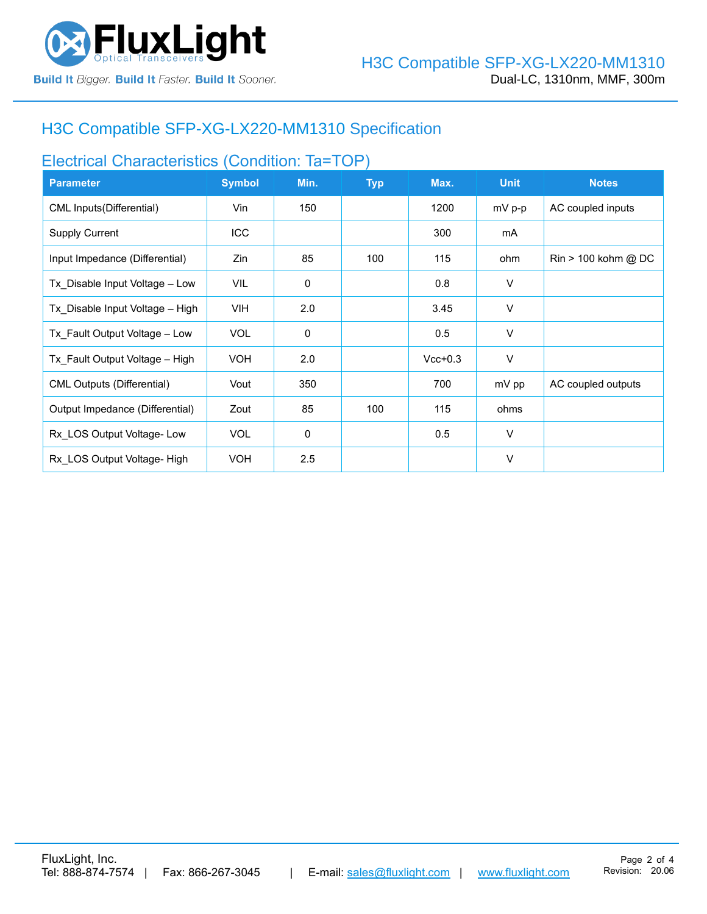

## H3C Compatible [SFP-XG-LX220-MM1310](https://www.fluxlight.com/sfp-xg-lx220-mm1310/) Specification

## Electrical Characteristics (Condition: Ta=TOP)

| <b>Parameter</b>                  | <b>Symbol</b> | Min.        | <b>Typ</b> | Max.      | <b>Unit</b> | <b>Notes</b>                          |
|-----------------------------------|---------------|-------------|------------|-----------|-------------|---------------------------------------|
| CML Inputs(Differential)          | Vin           | 150         |            | 1200      | $mV$ p-p    | AC coupled inputs                     |
| <b>Supply Current</b>             | <b>ICC</b>    |             |            | 300       | mA          |                                       |
| Input Impedance (Differential)    | Zin           | 85          | 100        | 115       | ohm         | $\text{Rin} > 100 \text{ kohm } @$ DC |
| Tx Disable Input Voltage - Low    | <b>VIL</b>    | $\mathbf 0$ |            | 0.8       | V           |                                       |
| Tx Disable Input Voltage - High   | <b>VIH</b>    | 2.0         |            | 3.45      | $\vee$      |                                       |
| Tx Fault Output Voltage - Low     | <b>VOL</b>    | $\mathbf 0$ |            | 0.5       | V           |                                       |
| Tx Fault Output Voltage - High    | <b>VOH</b>    | 2.0         |            | $Vcc+0.3$ | V           |                                       |
| <b>CML Outputs (Differential)</b> | Vout          | 350         |            | 700       | mV pp       | AC coupled outputs                    |
| Output Impedance (Differential)   | Zout          | 85          | 100        | 115       | ohms        |                                       |
| Rx LOS Output Voltage-Low         | <b>VOL</b>    | 0           |            | 0.5       | $\vee$      |                                       |
| Rx LOS Output Voltage- High       | <b>VOH</b>    | 2.5         |            |           | $\vee$      |                                       |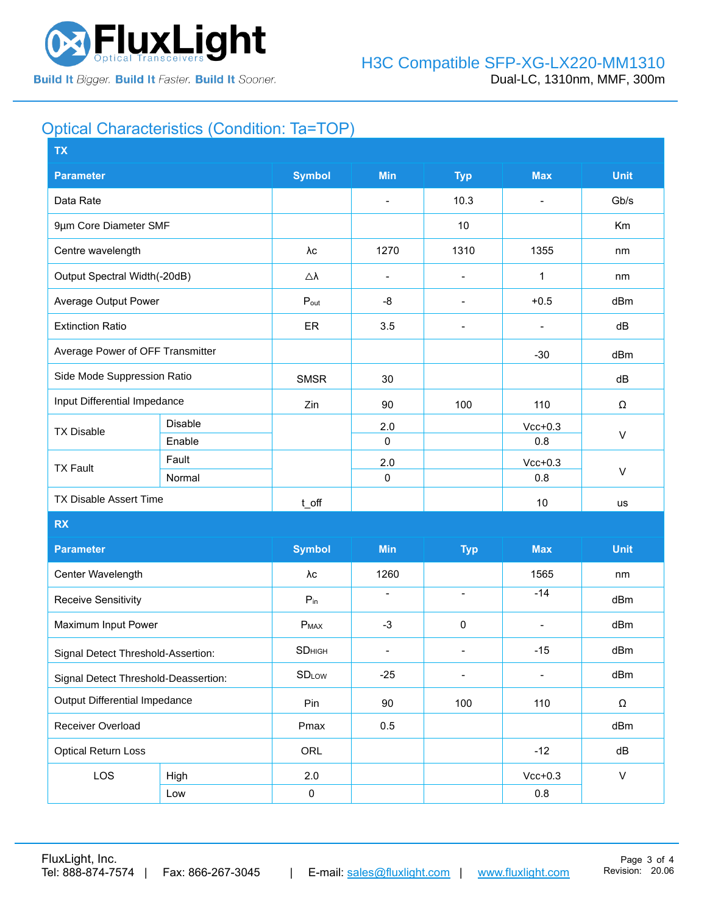

## Optical Characteristics (Condition: Ta=TOP)

| <b>TX</b>                            |                |                     |                          |                              |                |              |  |
|--------------------------------------|----------------|---------------------|--------------------------|------------------------------|----------------|--------------|--|
| <b>Parameter</b>                     |                | <b>Symbol</b>       | <b>Min</b>               | <b>Typ</b>                   | <b>Max</b>     | <b>Unit</b>  |  |
| Data Rate                            |                |                     | $\overline{\phantom{a}}$ | 10.3                         | $\blacksquare$ | Gb/s         |  |
| 9µm Core Diameter SMF                |                |                     |                          | 10                           |                | Km           |  |
| Centre wavelength                    |                | λс                  | 1270                     | 1310                         | 1355           | nm           |  |
| Output Spectral Width(-20dB)         |                | $\triangle \lambda$ | $\overline{\phantom{a}}$ | $\qquad \qquad \blacksquare$ | 1              | nm           |  |
| Average Output Power                 |                | $P_{\text{out}}$    | -8                       | $\overline{\phantom{a}}$     | $+0.5$         | dBm          |  |
| <b>Extinction Ratio</b>              |                | ER                  | 3.5                      | $\overline{\phantom{a}}$     |                | dB           |  |
| Average Power of OFF Transmitter     |                |                     |                          |                              | $-30$          | dBm          |  |
| Side Mode Suppression Ratio          |                | <b>SMSR</b>         | 30                       |                              |                | dB           |  |
| Input Differential Impedance         |                | Zin                 | 90                       | 100                          | 110            | Ω            |  |
| <b>TX Disable</b>                    | <b>Disable</b> |                     | 2.0                      |                              | $Vcc+0.3$      | $\vee$       |  |
|                                      | Enable         |                     | $\mathbf 0$              |                              | 0.8            |              |  |
| <b>TX Fault</b>                      | Fault          |                     | 2.0                      |                              | $Vcc+0.3$      |              |  |
|                                      | Normal         |                     | 0                        |                              | 0.8            | $\sf V$      |  |
| <b>TX Disable Assert Time</b>        |                | t_off               |                          |                              | 10             | us           |  |
| <b>RX</b>                            |                |                     |                          |                              |                |              |  |
| <b>Parameter</b>                     |                | <b>Symbol</b>       | <b>Min</b>               | <b>Typ</b>                   | <b>Max</b>     | <b>Unit</b>  |  |
| Center Wavelength                    |                | λc                  | 1260                     |                              | 1565           | nm           |  |
| <b>Receive Sensitivity</b>           |                | $P_{in}$            | $\overline{\phantom{a}}$ | $\blacksquare$               | $-14$          | dBm          |  |
| Maximum Input Power                  |                | $P_{MAX}$           | $-3$                     | $\pmb{0}$                    |                | dBm          |  |
| Signal Detect Threshold-Assertion:   |                | <b>SD</b> HIGH      | $\blacksquare$           | $\blacksquare$               | $-15$          | dBm          |  |
| Signal Detect Threshold-Deassertion: |                | <b>SDLOW</b>        | $-25$                    | $\overline{\phantom{a}}$     |                | dBm          |  |
| Output Differential Impedance        |                | Pin                 | 90                       | 100                          | 110            | Ω            |  |
| Receiver Overload                    |                | Pmax                | 0.5                      |                              |                | dBm          |  |
| <b>Optical Return Loss</b>           |                | ORL                 |                          |                              | $-12$          | dB           |  |
| LOS                                  | High           | 2.0                 |                          |                              | $Vcc+0.3$      | $\mathsf{V}$ |  |
|                                      | Low            | $\pmb{0}$           |                          |                              | $0.8\,$        |              |  |